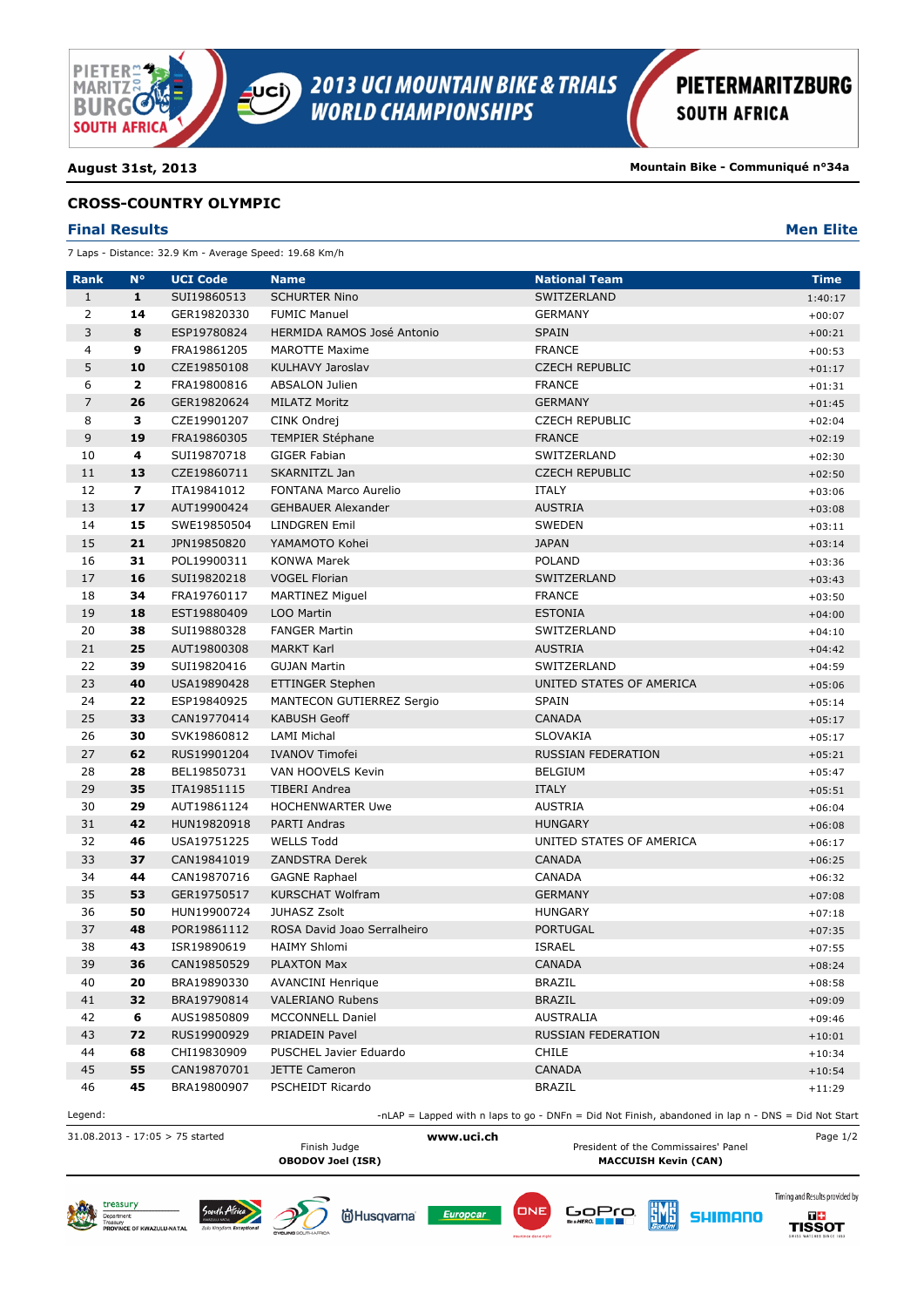

**August 31st, 2013 Mountain Bike - Communiqué n°34a**

### **CROSS-COUNTRY OLYMPIC**

### **Final Results Men Elite**

7 Laps - Distance: 32.9 Km - Average Speed: 19.68 Km/h

| <b>Rank</b>    | $N^{\circ}$             | <b>UCI Code</b> | <b>Name</b>                       | <b>National Team</b>                                                                                 | <b>Time</b> |
|----------------|-------------------------|-----------------|-----------------------------------|------------------------------------------------------------------------------------------------------|-------------|
| $\mathbf{1}$   | $\mathbf{1}$            | SUI19860513     | <b>SCHURTER Nino</b>              | SWITZERLAND                                                                                          | 1:40:17     |
| $\overline{2}$ | 14                      | GER19820330     | <b>FUMIC Manuel</b>               | <b>GERMANY</b>                                                                                       | $+00:07$    |
| 3              | 8                       | ESP19780824     | <b>HERMIDA RAMOS José Antonio</b> | <b>SPAIN</b>                                                                                         | $+00:21$    |
| 4              | 9                       | FRA19861205     | <b>MAROTTE Maxime</b>             | <b>FRANCE</b>                                                                                        | $+00:53$    |
| 5              | 10                      | CZE19850108     | KULHAVY Jaroslav                  | <b>CZECH REPUBLIC</b>                                                                                | $+01:17$    |
| 6              | $\overline{\mathbf{2}}$ | FRA19800816     | <b>ABSALON Julien</b>             | <b>FRANCE</b>                                                                                        | $+01:31$    |
| $\overline{7}$ | 26                      | GER19820624     | <b>MILATZ Moritz</b>              | <b>GERMANY</b>                                                                                       | $+01:45$    |
| 8              | з                       | CZE19901207     | CINK Ondrej                       | <b>CZECH REPUBLIC</b>                                                                                | $+02:04$    |
| 9              | 19                      | FRA19860305     | <b>TEMPIER Stéphane</b>           | <b>FRANCE</b>                                                                                        | $+02:19$    |
| 10             | 4                       | SUI19870718     | <b>GIGER Fabian</b>               | SWITZERLAND                                                                                          | $+02:30$    |
| 11             | 13                      | CZE19860711     | SKARNITZL Jan                     | <b>CZECH REPUBLIC</b>                                                                                | $+02:50$    |
| 12             | $\overline{\mathbf{z}}$ | ITA19841012     | FONTANA Marco Aurelio             | <b>ITALY</b>                                                                                         | $+03:06$    |
| 13             | 17                      | AUT19900424     | <b>GEHBAUER Alexander</b>         | <b>AUSTRIA</b>                                                                                       | $+03:08$    |
| 14             | 15                      | SWE19850504     | <b>LINDGREN Emil</b>              | SWEDEN                                                                                               | $+03:11$    |
| 15             | 21                      | JPN19850820     | YAMAMOTO Kohei                    | <b>JAPAN</b>                                                                                         | $+03:14$    |
| 16             | 31                      | POL19900311     | <b>KONWA Marek</b>                | <b>POLAND</b>                                                                                        | $+03:36$    |
| 17             | 16                      | SUI19820218     | <b>VOGEL Florian</b>              | SWITZERLAND                                                                                          | $+03:43$    |
| 18             | 34                      | FRA19760117     | MARTINEZ Miguel                   | <b>FRANCE</b>                                                                                        | $+03:50$    |
| 19             | 18                      | EST19880409     | LOO Martin                        | <b>ESTONIA</b>                                                                                       | $+04:00$    |
| 20             | 38                      | SUI19880328     | <b>FANGER Martin</b>              | SWITZERLAND                                                                                          | $+04:10$    |
| 21             | 25                      | AUT19800308     | <b>MARKT Karl</b>                 | <b>AUSTRIA</b>                                                                                       | $+04:42$    |
| 22             | 39                      | SUI19820416     | <b>GUJAN Martin</b>               | SWITZERLAND                                                                                          | $+04:59$    |
| 23             | 40                      | USA19890428     | <b>ETTINGER Stephen</b>           | UNITED STATES OF AMERICA                                                                             | $+05:06$    |
| 24             | 22                      | ESP19840925     | <b>MANTECON GUTIERREZ Sergio</b>  | <b>SPAIN</b>                                                                                         | $+05:14$    |
| 25             | 33                      | CAN19770414     | <b>KABUSH Geoff</b>               | <b>CANADA</b>                                                                                        | $+05:17$    |
| 26             | 30                      | SVK19860812     | <b>LAMI Michal</b>                | <b>SLOVAKIA</b>                                                                                      | $+05:17$    |
| 27             | 62                      | RUS19901204     | <b>IVANOV Timofei</b>             | <b>RUSSIAN FEDERATION</b>                                                                            | $+05:21$    |
| 28             | 28                      | BEL19850731     | VAN HOOVELS Kevin                 | <b>BELGIUM</b>                                                                                       | $+05:47$    |
| 29             | 35                      | ITA19851115     | <b>TIBERI Andrea</b>              | <b>ITALY</b>                                                                                         | $+05:51$    |
| 30             | 29                      | AUT19861124     | <b>HOCHENWARTER Uwe</b>           | <b>AUSTRIA</b>                                                                                       | $+06:04$    |
| 31             | 42                      | HUN19820918     | PARTI Andras                      | <b>HUNGARY</b>                                                                                       | $+06:08$    |
| 32             | 46                      | USA19751225     | <b>WELLS Todd</b>                 | UNITED STATES OF AMERICA                                                                             | $+06:17$    |
| 33             | 37                      | CAN19841019     | <b>ZANDSTRA Derek</b>             | <b>CANADA</b>                                                                                        | $+06:25$    |
| 34             | 44                      | CAN19870716     | <b>GAGNE Raphael</b>              | CANADA                                                                                               | $+06:32$    |
| 35             | 53                      | GER19750517     | KURSCHAT Wolfram                  | <b>GERMANY</b>                                                                                       | $+07:08$    |
| 36             | 50                      | HUN19900724     | <b>JUHASZ Zsolt</b>               | <b>HUNGARY</b>                                                                                       | $+07:18$    |
| 37             | 48                      | POR19861112     | ROSA David Joao Serralheiro       | <b>PORTUGAL</b>                                                                                      | $+07:35$    |
| 38             | 43                      | ISR19890619     | <b>HAIMY Shlomi</b>               | <b>ISRAEL</b>                                                                                        | $+07:55$    |
| 39             | 36                      | CAN19850529     | <b>PLAXTON Max</b>                | <b>CANADA</b>                                                                                        | $+08:24$    |
| 40             | 20                      | BRA19890330     | <b>AVANCINI Henrique</b>          | <b>BRAZIL</b>                                                                                        | $+08:58$    |
| 41             | 32                      | BRA19790814     | <b>VALERIANO Rubens</b>           | <b>BRAZIL</b>                                                                                        | $+09:09$    |
| 42             | 6                       | AUS19850809     | <b>MCCONNELL Daniel</b>           | AUSTRALIA                                                                                            | $+09:46$    |
| 43             | 72                      | RUS19900929     | PRIADEIN Pavel                    | <b>RUSSIAN FEDERATION</b>                                                                            | $+10:01$    |
| 44             | 68                      | CHI19830909     | PUSCHEL Javier Eduardo            | <b>CHILE</b>                                                                                         | $+10:34$    |
| 45             | 55                      | CAN19870701     | <b>JETTE Cameron</b>              | <b>CANADA</b>                                                                                        | $+10:54$    |
| 46             | 45                      | BRA19800907     | PSCHEIDT Ricardo                  | <b>BRAZIL</b>                                                                                        | $+11:29$    |
| Legend:        |                         |                 |                                   | -nLAP = Lapped with n laps to go - DNFn = Did Not Finish, abandoned in lap $n - DNS = Did$ Not Start |             |

31.08.2013 - 17:05 > 75 started **www.uci.ch** Page 1/2 Finish Judge **President of the Commissaires' Panel**<br>
President of the Commissaires' Panel<br>
MACCUISH Kevin (CAN) **MACCUISH Kevin (CAN)** 











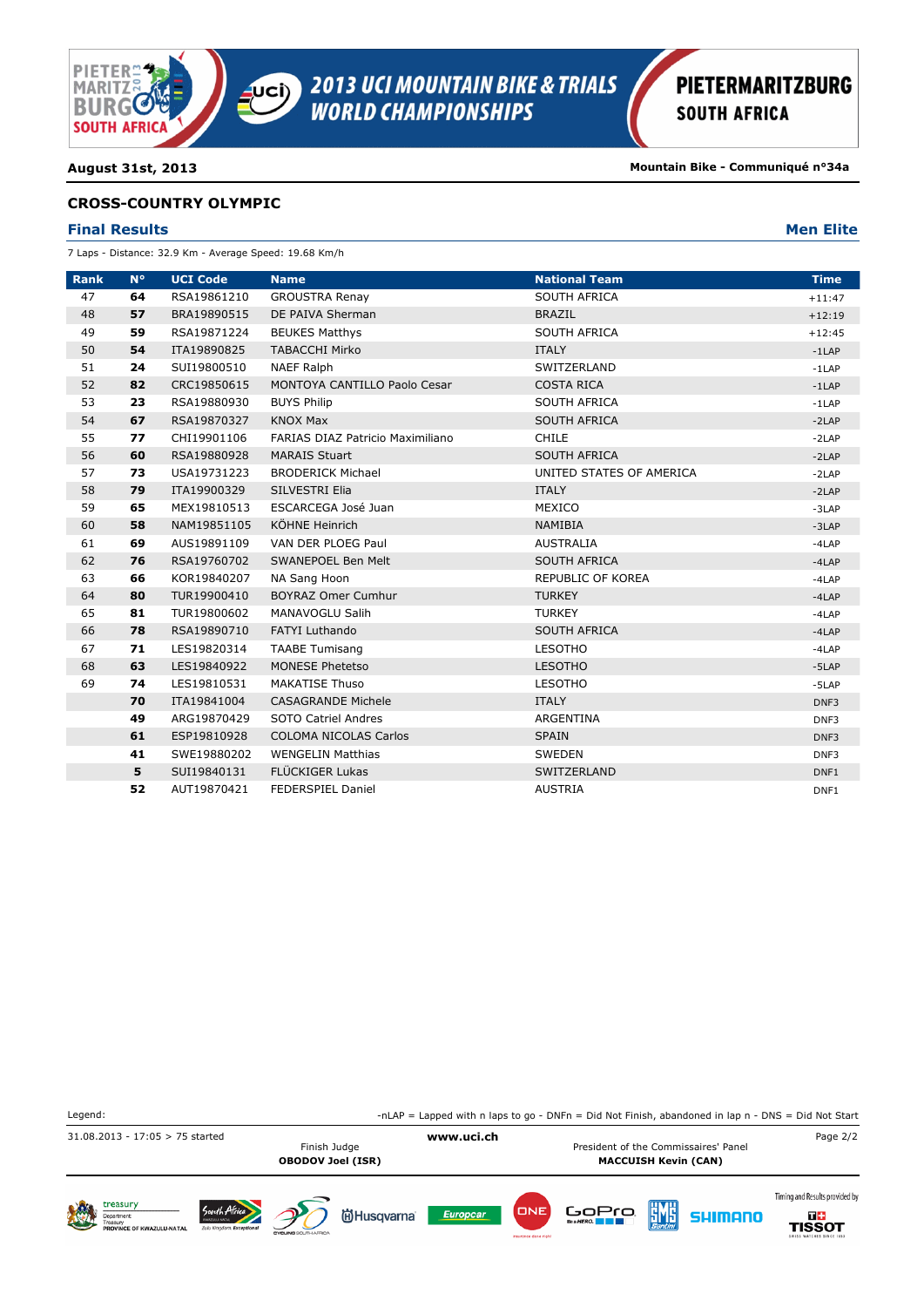

**August 31st, 2013 Mountain Bike - Communiqué n°34a**

### **CROSS-COUNTRY OLYMPIC**

### **Final Results Men Elite**

7 Laps - Distance: 32.9 Km - Average Speed: 19.68 Km/h

| <b>Rank</b> | $N^{\circ}$ | <b>UCI Code</b> | <b>Name</b>                      | <b>National Team</b>     | <b>Time</b> |
|-------------|-------------|-----------------|----------------------------------|--------------------------|-------------|
| 47          | 64          | RSA19861210     | <b>GROUSTRA Renay</b>            | <b>SOUTH AFRICA</b>      | $+11:47$    |
| 48          | 57          | BRA19890515     | DE PAIVA Sherman                 | <b>BRAZIL</b>            | $+12:19$    |
| 49          | 59          | RSA19871224     | <b>BEUKES Matthys</b>            | <b>SOUTH AFRICA</b>      | $+12:45$    |
| 50          | 54          | ITA19890825     | <b>TABACCHI Mirko</b>            | <b>ITALY</b>             | $-1$ LAP    |
| 51          | 24          | SUI19800510     | <b>NAEF Ralph</b>                | SWITZERLAND              | $-1$ LAP    |
| 52          | 82          | CRC19850615     | MONTOYA CANTILLO Paolo Cesar     | <b>COSTA RICA</b>        | $-1$ LAP    |
| 53          | 23          | RSA19880930     | <b>BUYS Philip</b>               | SOUTH AFRICA             | $-1$ LAP    |
| 54          | 67          | RSA19870327     | <b>KNOX Max</b>                  | <b>SOUTH AFRICA</b>      | $-2LAP$     |
| 55          | 77          | CHI19901106     | FARIAS DIAZ Patricio Maximiliano | <b>CHILE</b>             | $-2LAP$     |
| 56          | 60          | RSA19880928     | <b>MARAIS Stuart</b>             | <b>SOUTH AFRICA</b>      | $-2LAP$     |
| 57          | 73          | USA19731223     | <b>BRODERICK Michael</b>         | UNITED STATES OF AMERICA | $-2LAP$     |
| 58          | 79          | ITA19900329     | SILVESTRI Elia                   | <b>ITALY</b>             | $-2LAP$     |
| 59          | 65          | MEX19810513     | ESCARCEGA José Juan              | MEXICO                   | $-3LAP$     |
| 60          | 58          | NAM19851105     | KÖHNE Heinrich                   | <b>NAMIBIA</b>           | $-3LAP$     |
| 61          | 69          | AUS19891109     | VAN DER PLOEG Paul               | <b>AUSTRALIA</b>         | $-4LAP$     |
| 62          | 76          | RSA19760702     | SWANEPOEL Ben Melt               | <b>SOUTH AFRICA</b>      | $-4LAP$     |
| 63          | 66          | KOR19840207     | NA Sang Hoon                     | REPUBLIC OF KOREA        | $-4LAP$     |
| 64          | 80          | TUR19900410     | <b>BOYRAZ Omer Cumhur</b>        | <b>TURKEY</b>            | $-4LAP$     |
| 65          | 81          | TUR19800602     | MANAVOGLU Salih                  | <b>TURKEY</b>            | $-4LAP$     |
| 66          | 78          | RSA19890710     | <b>FATYI Luthando</b>            | <b>SOUTH AFRICA</b>      | $-4LAP$     |
| 67          | 71          | LES19820314     | <b>TAABE Tumisang</b>            | <b>LESOTHO</b>           | $-4LAP$     |
| 68          | 63          | LES19840922     | <b>MONESE Phetetso</b>           | <b>LESOTHO</b>           | $-5LAP$     |
| 69          | 74          | LES19810531     | <b>MAKATISE Thuso</b>            | <b>LESOTHO</b>           | $-5LAP$     |
|             | 70          | ITA19841004     | <b>CASAGRANDE Michele</b>        | <b>ITALY</b>             | DNF3        |
|             | 49          | ARG19870429     | SOTO Catriel Andres              | ARGENTINA                | DNF3        |
|             | 61          | ESP19810928     | <b>COLOMA NICOLAS Carlos</b>     | <b>SPAIN</b>             | DNF3        |
|             | 41          | SWE19880202     | <b>WENGELIN Matthias</b>         | <b>SWEDEN</b>            | DNF3        |
|             | 5           | SUI19840131     | <b>FLÜCKIGER Lukas</b>           | SWITZERLAND              | DNF1        |
|             | 52          | AUT19870421     | <b>FEDERSPIEL Daniel</b>         | <b>AUSTRIA</b>           | DNF1        |

| Legend:                               |                                           |                           |                                                        |                 |                             |                                                                     |     |         | -nLAP = Lapped with n laps to go - DNFn = Did Not Finish, abandoned in lap $n - DNS = Did$ Not Start |  |
|---------------------------------------|-------------------------------------------|---------------------------|--------------------------------------------------------|-----------------|-----------------------------|---------------------------------------------------------------------|-----|---------|------------------------------------------------------------------------------------------------------|--|
| $31.08.2013 - 17:05 > 75$ started     |                                           |                           | www.uci.ch<br>Finish Judge<br><b>OBODOV Joel (ISR)</b> |                 |                             | President of the Commissaires' Panel<br><b>MACCUISH Kevin (CAN)</b> |     |         |                                                                                                      |  |
| treasury<br>PROVINCE OF KWAZULU-NATAL | South Africa<br>Zulu Kingdom. Exceptional | CYCLING!<br>BOLITH AFRICA | <b>尚Husqvarna</b>                                      | <b>Europcar</b> | DNE<br>insurance done right | GOPTO                                                               | EME | SHIMANO | Timing and Results provided by<br>T ÷<br>TISSOT<br>SWISS WATCHES SINCE 1853                          |  |

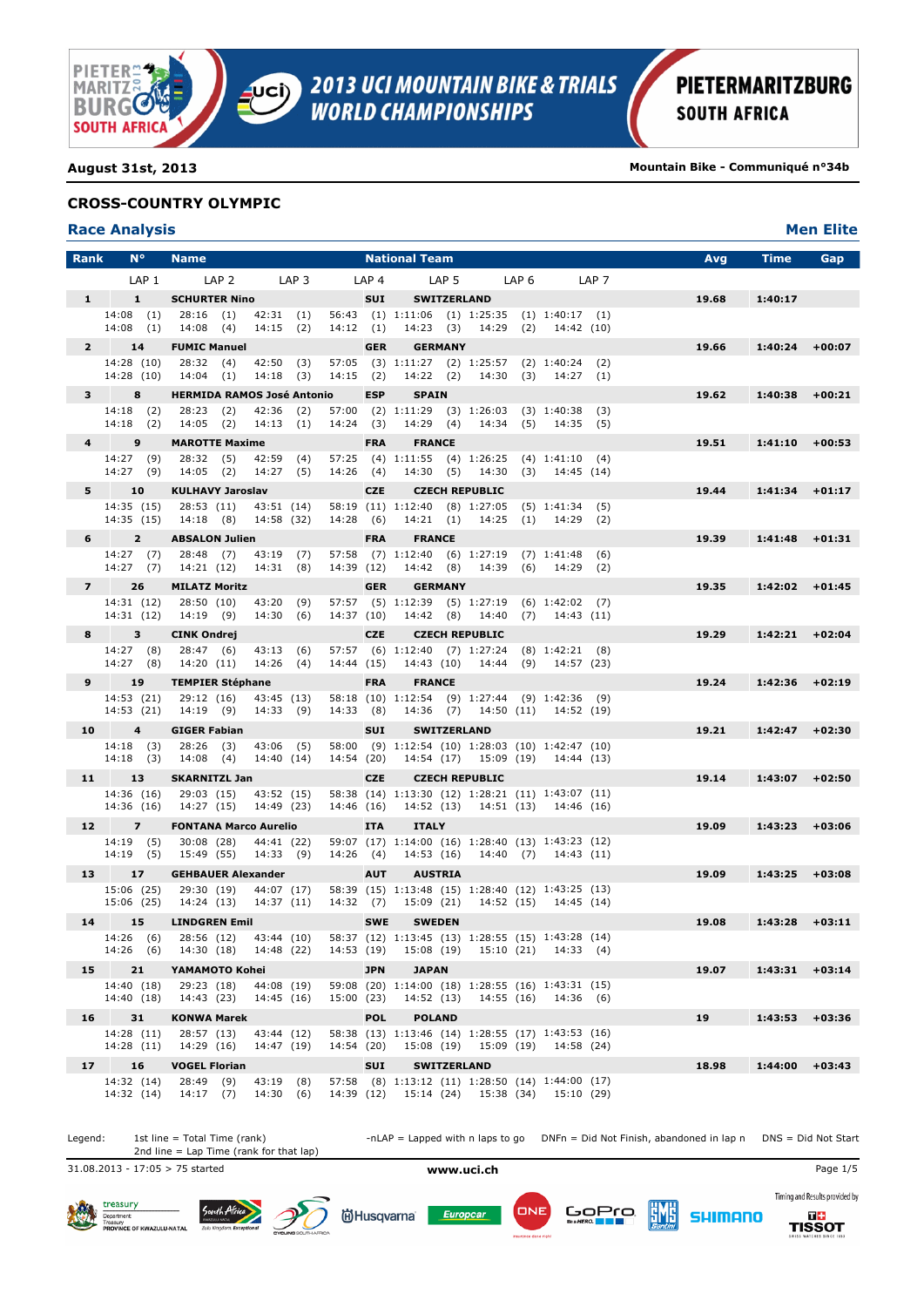

**August 31st, 2013 Mountain Bike - Communiqué n°34b**

### **CROSS-COUNTRY OLYMPIC**

## **Race Analysis Men Elite**

| <b>Rank</b>     | $N^{\circ}$              |                  | <b>Name</b>                                                          |                  |                                 |                  |             |                  | <b>National Team</b>                                                                                                                                  |  |       |                      |                  | Avg   | <b>Time</b>       | Gap      |
|-----------------|--------------------------|------------------|----------------------------------------------------------------------|------------------|---------------------------------|------------------|-------------|------------------|-------------------------------------------------------------------------------------------------------------------------------------------------------|--|-------|----------------------|------------------|-------|-------------------|----------|
|                 |                          | LAP <sub>1</sub> |                                                                      | LAP <sub>2</sub> |                                 | LAP <sub>3</sub> |             | LAP <sub>4</sub> | LAP <sub>5</sub>                                                                                                                                      |  | LAP 6 |                      | LAP <sub>7</sub> |       |                   |          |
| $1 -$           | $\mathbf{1}$             |                  | <b>SCHURTER Nino</b>                                                 |                  |                                 |                  |             | <b>SUI</b>       | <b>SWITZERLAND</b>                                                                                                                                    |  |       |                      |                  | 19.68 | 1:40:17           |          |
|                 | 14:08(1)                 |                  | $14:08$ (4) $14:15$ (2)                                              |                  |                                 |                  | 14:12(1)    |                  | 14:08 (1) 28:16 (1) 42:31 (1) 56:43 (1) 1:11:06 (1) 1:25:35 (1) 1:40:17 (1)<br>14:23 (3) 14:29 (2) 14:42 (10)                                         |  |       |                      |                  |       |                   |          |
| $2^{\circ}$     | 14                       |                  | <b>FUMIC Manuel</b>                                                  |                  |                                 |                  |             | <b>GER</b>       | <b>GERMANY</b>                                                                                                                                        |  |       |                      |                  | 19.66 | 1:40:24           | $+00:07$ |
|                 | 14:28 (10)               |                  | 14:28 (10) 28:32 (4) 42:50 (3)<br>14:04 (1) 14:18 (3)                |                  |                                 |                  | $14:15$ (2) |                  | 57:05 (3) 1:11:27 (2) 1:25:57 (2) 1:40:24 (2)<br>14:22 (2) 14:30 (3) 14:27 (1)                                                                        |  |       |                      |                  |       |                   |          |
|                 | 8<br>$3^{\circ}$         |                  | <b>HERMIDA RAMOS José Antonio</b>                                    |                  |                                 |                  |             | <b>ESP</b>       | <b>SPAIN</b>                                                                                                                                          |  |       |                      |                  | 19.62 | 1:40:38           | $+00:21$ |
|                 | 14:18 (2)                |                  |                                                                      |                  | 28:23 (2) 42:36 (2)             |                  |             |                  | 57:00 (2) 1:11:29 (3) 1:26:03 (3) 1:40:38 (3)                                                                                                         |  |       |                      |                  |       |                   |          |
|                 | 14:18(2)                 |                  | $14:05$ (2) $14:13$ (1)                                              |                  |                                 |                  | 14:24(3)    |                  | 14:29 (4) 14:34 (5) 14:35 (5)                                                                                                                         |  |       |                      |                  |       |                   |          |
| $4^{\circ}$     | 9                        |                  | <b>MAROTTE Maxime</b>                                                |                  |                                 |                  |             | <b>FRA</b>       | <b>FRANCE</b>                                                                                                                                         |  |       |                      |                  | 19.51 | $1:41:10$ +00:53  |          |
|                 | 14:27 (9)                |                  | 14:27 (9) 14:05 (2) 14:27 (5)                                        |                  | 28:32 (5) 42:59 (4)             |                  | 14:26(4)    |                  | 57:25 (4) 1:11:55 (4) 1:26:25 (4) 1:41:10 (4)<br>14:30 (5) 14:30 (3) 14:45 (14)                                                                       |  |       |                      |                  |       |                   |          |
|                 | 10<br>$5 - 1$            |                  | <b>KULHAVY Jaroslav</b>                                              |                  |                                 |                  |             | <b>CZE</b>       | <b>CZECH REPUBLIC</b>                                                                                                                                 |  |       |                      |                  | 19.44 | $1:41:34$ +01:17  |          |
|                 |                          |                  | 14:35 (15) 28:53 (11) 43:51 (14)                                     |                  |                                 |                  |             |                  | 58:19 (11) 1:12:40 (8) 1:27:05 (5) 1:41:34 (5)                                                                                                        |  |       |                      |                  |       |                   |          |
|                 | 14:35 (15)               |                  | 14:18 (8) 14:58 (32)                                                 |                  |                                 |                  | 14:28 (6)   |                  | 14:21 (1) 14:25 (1) 14:29 (2)                                                                                                                         |  |       |                      |                  |       |                   |          |
|                 | $6^{\circ}$              | $2^{\circ}$      | <b>ABSALON Julien</b>                                                |                  |                                 |                  |             | <b>FRA</b>       | <b>FRANCE</b>                                                                                                                                         |  |       |                      |                  | 19.39 | $1:41:48$ +01:31  |          |
|                 | 14:27(7)                 |                  | 14:27 (7) 28:48 (7) 43:19 (7)<br>14:21 (12) 14:31 (8)                |                  |                                 |                  | 14:39 (12)  |                  | 57:58 (7) 1:12:40 (6) 1:27:19 (7) 1:41:48 (6)<br>14:42 (8) 14:39 (6) 14:29 (2)                                                                        |  |       |                      |                  |       |                   |          |
| $7 -$           | 26                       |                  | <b>MILATZ Moritz</b>                                                 |                  |                                 |                  |             | <b>GER</b>       | <b>GERMANY</b>                                                                                                                                        |  |       |                      |                  | 19.35 | $1:42:02 + 01:45$ |          |
|                 |                          |                  | 14:31 (12) 28:50 (10) 43:20 (9)                                      |                  |                                 |                  |             |                  | 57:57 (5) 1:12:39 (5) 1:27:19 (6) 1:42:02 (7)                                                                                                         |  |       |                      |                  |       |                   |          |
|                 | 14:31 (12)               |                  | 14:19 (9)                                                            |                  | 14:30(6)                        |                  | 14:37 (10)  |                  | 14:42 (8) 14:40 (7) 14:43 (11)                                                                                                                        |  |       |                      |                  |       |                   |          |
| 8               | 3                        |                  | <b>CINK Ondrej</b>                                                   |                  |                                 |                  |             | <b>CZE</b>       | <b>CZECH REPUBLIC</b>                                                                                                                                 |  |       |                      |                  | 19.29 | $1:42:21$ +02:04  |          |
|                 | 14:27 (8)<br>14:27(8)    |                  | 14:20 (11)                                                           |                  | 28:47 (6) 43:13 (6)<br>14:26(4) |                  | 14:44 (15)  |                  | 57:57 (6) 1:12:40 (7) 1:27:24 (8) 1:42:21 (8)<br>14:43 (10) 14:44 (9) 14:57 (23)                                                                      |  |       |                      |                  |       |                   |          |
| 9               | 19                       |                  | <b>TEMPIER Stéphane</b>                                              |                  |                                 |                  |             | <b>FRA</b>       | <b>FRANCE</b>                                                                                                                                         |  |       |                      |                  | 19.24 | $1:42:36$ +02:19  |          |
|                 | 14:53 (21)               |                  | 14:53 (21) 29:12 (16)<br>14:19 (9) 14:33 (9)                         |                  | 43:45 (13)                      |                  | 14:33 (8)   |                  | 58:18 (10) 1:12:54 (9) 1:27:44 (9) 1:42:36 (9)<br>14:36 (7) 14:50 (11) 14:52 (19)                                                                     |  |       |                      |                  |       |                   |          |
|                 | $\overline{4}$<br>10     |                  | <b>GIGER Fabian</b>                                                  |                  |                                 |                  |             | <b>SUI</b>       | <b>SWITZERLAND</b>                                                                                                                                    |  |       |                      |                  | 19.21 | 1:42:47           | $+02:30$ |
|                 | 14:18(3)                 |                  |                                                                      |                  | 28:26 (3) 43:06 (5)             |                  |             |                  | 58:00 (9) 1:12:54 (10) 1:28:03 (10) 1:42:47 (10)                                                                                                      |  |       |                      |                  |       |                   |          |
|                 | 14:18(3)                 |                  | 14:08 (4)                                                            |                  | 14:40 (14)                      |                  | 14:54 (20)  |                  | 14:54 (17) 15:09 (19) 14:44 (13)                                                                                                                      |  |       |                      |                  |       |                   |          |
| 11              | 13                       |                  | <b>SKARNITZL Jan</b>                                                 |                  |                                 |                  |             | <b>CZE</b>       | <b>CZECH REPUBLIC</b>                                                                                                                                 |  |       |                      |                  | 19.14 | $1:43:07$ +02:50  |          |
|                 |                          |                  | 14:36 (16) 29:03 (15) 43:52 (15)<br>14:36 (16) 14:27 (15) 14:49 (23) |                  |                                 |                  | 14:46 (16)  |                  | 58:38 (14) 1:13:30 (12) 1:28:21 (11) 1:43:07 (11)<br>14:52 (13) 14:51 (13) 14:46 (16)                                                                 |  |       |                      |                  |       |                   |          |
|                 | 12 (1)<br>$\overline{z}$ |                  | <b>FONTANA Marco Aurelio</b>                                         |                  |                                 |                  |             | <b>ITA</b>       | <b>ITALY</b>                                                                                                                                          |  |       |                      |                  | 19.09 | 1:43:23           | $+03:06$ |
|                 | 14:19 (5)<br>14:19 (5)   |                  | 30:08 (28) 44:41 (22)<br>15:49 (55)                                  |                  | 14:33 (9)                       |                  | 14:26 (4)   |                  | 59:07 (17) 1:14:00 (16) 1:28:40 (13) 1:43:23 (12)<br>14:53 (16) 14:40 (7) 14:43 (11)                                                                  |  |       |                      |                  |       |                   |          |
|                 | 17<br>13 —               |                  | <b>GEHBAUER Alexander</b>                                            |                  |                                 |                  |             | <b>AUT</b>       | <b>AUSTRIA</b>                                                                                                                                        |  |       |                      |                  | 19.09 | $1:43:25$ +03:08  |          |
|                 |                          |                  |                                                                      |                  |                                 |                  |             |                  | 15:06 (25) 29:30 (19) 44:07 (17) 58:39 (15) 1:13:48 (15) 1:28:40 (12) 1:43:25 (13)                                                                    |  |       |                      |                  |       |                   |          |
|                 | 15:06 (25)               |                  | 14:24 (13) 14:37 (11) 14:32 (7)                                      |                  |                                 |                  |             |                  | 15:09 (21) 14:52 (15) 14:45 (14)                                                                                                                      |  |       |                      |                  |       |                   |          |
|                 | 14 15                    |                  | <b>LINDGREN Emil</b>                                                 |                  |                                 |                  |             | <b>SWE</b>       | <b>SWEDEN</b>                                                                                                                                         |  |       |                      |                  | 19.08 | $1:43:28$ +03:11  |          |
|                 | 14:26 (6)                |                  |                                                                      |                  |                                 |                  |             |                  | 14:26 (6) 28:56 (12) 43:44 (10) 58:37 (12) 1:13:45 (13) 1:28:55 (15) 1:43:28 (14)<br>14:30 (18) 14:48 (22) 14:53 (19) 15:08 (19) 15:10 (21) 14:33 (4) |  |       |                      |                  |       |                   |          |
| 15 <sub>1</sub> | 21                       |                  | YAMAMOTO Kohei                                                       |                  |                                 |                  |             | <b>JPN</b>       | <b>JAPAN</b>                                                                                                                                          |  |       |                      |                  | 19.07 | $1:43:31$ +03:14  |          |
|                 | 14:40 (18)<br>14:40 (18) |                  | 29:23 (18)<br>14:43 (23)                                             |                  | 44:08 (19)<br>14:45 (16)        |                  | 15:00 (23)  |                  | 59:08 (20) 1:14:00 (18) 1:28:55 (16) 1:43:31 (15)<br>14:52 (13)                                                                                       |  |       | 14:55 (16) 14:36 (6) |                  |       |                   |          |
| 16 <sub>1</sub> | 31                       |                  | <b>KONWA Marek</b>                                                   |                  |                                 |                  |             | <b>POL</b>       | <b>POLAND</b>                                                                                                                                         |  |       |                      |                  | 19    | $1:43:53 + 03:36$ |          |
|                 | 14:28 (11)               |                  | 28:57 (13)                                                           |                  | 43:44 (12)                      |                  |             |                  | 58:38 (13) 1:13:46 (14) 1:28:55 (17) 1:43:53 (16)                                                                                                     |  |       |                      |                  |       |                   |          |
|                 | 14:28 (11)               |                  | 14:29 (16)                                                           |                  | 14:47 (19)                      |                  | 14:54 (20)  |                  | 15:08 (19) 15:09 (19) 14:58 (24)                                                                                                                      |  |       |                      |                  |       |                   |          |
| 17              | 16<br>14:32 (14)         |                  | <b>VOGEL Florian</b><br>28:49 (9)                                    |                  | 43:19 (8)                       |                  |             | <b>SUI</b>       | <b>SWITZERLAND</b><br>57:58 (8) 1:13:12 (11) 1:28:50 (14) 1:44:00 (17)                                                                                |  |       |                      |                  | 18.98 | 1:44:00           | $+03:43$ |
|                 | 14:32 (14)               |                  | 14:17(7)                                                             |                  | 14:30(6)                        |                  |             |                  | 14:39 (12) 15:14 (24) 15:38 (34) 15:10 (29)                                                                                                           |  |       |                      |                  |       |                   |          |

Legend: 1st line = Total Time (rank) -nLAP = Lapped with n laps to go DNFn = Did Not Finish, abandoned in lap n DNS = Did Not Start 2nd line = Lap Time (rank for that lap) 31.08.2013 - 17:05 > 75 started **www.uci.ch** Page 1/5 Timing and Results provided by treasury South Afri ËMË Europcar **SHIMANO** 





ONE



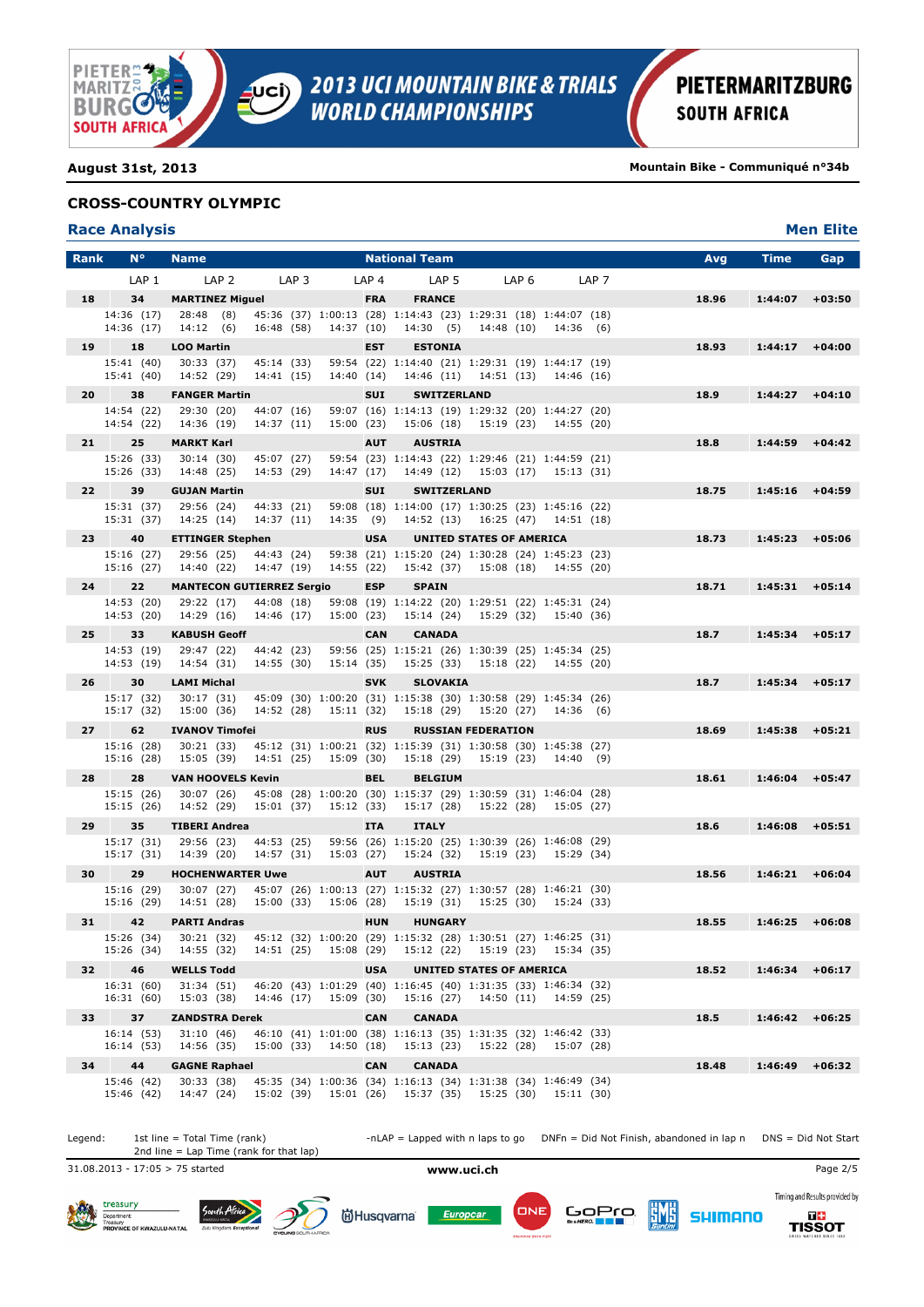

**August 31st, 2013 Mountain Bike - Communiqué n°34b**

### **CROSS-COUNTRY OLYMPIC**

| <b>Race Analysis</b> | <b>Men Elite</b> |
|----------------------|------------------|
|                      |                  |

| <b>Rank</b>     | $N^{\circ}$              | <b>Name</b>                                                                                        |                                                                                                                          | <b>National Team</b>                                                |                                  |                       | Avg   | <b>Time</b>       | Gap      |
|-----------------|--------------------------|----------------------------------------------------------------------------------------------------|--------------------------------------------------------------------------------------------------------------------------|---------------------------------------------------------------------|----------------------------------|-----------------------|-------|-------------------|----------|
|                 | LAP <sub>1</sub>         | LAP <sub>2</sub>                                                                                   | LAP <sub>3</sub><br>LAP <sub>4</sub>                                                                                     | LAP <sub>5</sub>                                                    | LAP <sub>6</sub>                 | LAP <sub>7</sub>      |       |                   |          |
| 18              | 34                       | <b>MARTINEZ Miguel</b>                                                                             | <b>FRA</b>                                                                                                               | <b>FRANCE</b>                                                       |                                  |                       | 18.96 | 1:44:07           | $+03:50$ |
|                 | 14:36 (17)<br>14:36 (17) | 28:48 (8)<br>14:12(6)<br>16:48 (58)                                                                | 45:36 (37) 1:00:13 (28) 1:14:43 (23) 1:29:31 (18) 1:44:07 (18)<br>14:37(10)                                              |                                                                     | 14:30 (5) 14:48 (10)             | 14:36 (6)             |       |                   |          |
| 19              | 18                       | <b>LOO Martin</b>                                                                                  | <b>EST</b>                                                                                                               | <b>ESTONIA</b>                                                      |                                  |                       | 18.93 | $1:44:17 + 04:00$ |          |
|                 | 15:41 (40)<br>15:41 (40) | 30:33 (37)<br>45:14 (33)<br>14:52 (29)<br>14:41 (15)                                               | 14:40 (14)                                                                                                               | 59:54 (22) 1:14:40 (21) 1:29:31 (19) 1:44:17 (19)                   | 14:46 (11) 14:51 (13) 14:46 (16) |                       |       |                   |          |
| 20              | 38                       | <b>FANGER Martin</b>                                                                               | <b>SUI</b>                                                                                                               | <b>SWITZERLAND</b>                                                  |                                  |                       | 18.9  | 1:44:27           | $+04:10$ |
|                 | 14:54 (22)               | 29:30 (20)<br>44:07 (16)                                                                           |                                                                                                                          | 59:07 (16) 1:14:13 (19) 1:29:32 (20) 1:44:27 (20)                   |                                  |                       |       |                   |          |
|                 | 14:54 (22)               | 14:36 (19)<br>14:37 (11)                                                                           | 15:00(23)                                                                                                                |                                                                     | 15:06 (18) 15:19 (23) 14:55 (20) |                       |       |                   |          |
| 21              | 25<br>15:26 (33)         | <b>MARKT Karl</b><br>30:14(30)<br>45:07 (27)                                                       | <b>AUT</b>                                                                                                               | <b>AUSTRIA</b><br>59:54 (23) 1:14:43 (22) 1:29:46 (21) 1:44:59 (21) |                                  |                       | 18.8  | 1:44:59           | $+04:42$ |
|                 | 15:26 (33)               | 14:53 (29)<br>14:48 (25)                                                                           |                                                                                                                          | 14:47 (17) 14:49 (12) 15:03 (17) 15:13 (31)                         |                                  |                       |       |                   |          |
| 22 <sub>2</sub> | 39                       | <b>GUJAN Martin</b>                                                                                | <b>SUI</b>                                                                                                               | <b>SWITZERLAND</b>                                                  |                                  |                       | 18.75 | 1:45:16           | $+04:59$ |
|                 | 15:31 (37)<br>15:31 (37) | 29:56 (24)<br>44:33 (21)<br>14:25 (14)<br>14:37 (11)                                               | 14:35 (9)                                                                                                                | 59:08 (18) 1:14:00 (17) 1:30:25 (23) 1:45:16 (22)                   | 14:52 (13) 16:25 (47) 14:51 (18) |                       |       |                   |          |
| 23              | 40                       | <b>ETTINGER Stephen</b>                                                                            | <b>USA</b>                                                                                                               |                                                                     | <b>UNITED STATES OF AMERICA</b>  |                       | 18.73 | 1:45:23           | $+05:06$ |
|                 | 15:16 (27)<br>15:16 (27) | 29:56 (25)<br>44:43 (24)<br>14:40 (22)<br>14:47 (19)                                               | 14:55 (22)                                                                                                               | 59:38 (21) 1:15:20 (24) 1:30:28 (24) 1:45:23 (23)                   | 15:42 (37) 15:08 (18) 14:55 (20) |                       |       |                   |          |
| 24              | 22                       | <b>MANTECON GUTIERREZ Sergio</b>                                                                   | <b>ESP</b>                                                                                                               | <b>SPAIN</b>                                                        |                                  |                       | 18.71 | 1:45:31           | $+05:14$ |
|                 | 14:53 (20)               | 29:22 (17)<br>44:08 (18)                                                                           |                                                                                                                          | 59:08 (19) 1:14:22 (20) 1:29:51 (22) 1:45:31 (24)                   |                                  |                       |       |                   |          |
|                 | 14:53 (20)               | 14:29 (16)<br>14:46 (17)                                                                           | 15:00 (23)                                                                                                               |                                                                     | 15:14 (24) 15:29 (32) 15:40 (36) |                       |       |                   |          |
| $25 -$          | 33                       | <b>KABUSH Geoff</b>                                                                                | <b>CAN</b>                                                                                                               | <b>CANADA</b>                                                       |                                  |                       | 18.7  | 1:45:34           | $+05:17$ |
|                 | 14:53 (19)<br>14:53 (19) | 29:47 (22)<br>44:42 (23)<br>14:55 (30)<br>14:54 (31)                                               | 15:14 (35)                                                                                                               | 59:56 (25) 1:15:21 (26) 1:30:39 (25) 1:45:34 (25)                   | 15:25 (33) 15:18 (22) 14:55 (20) |                       |       |                   |          |
| 26              | 30                       | <b>LAMI Michal</b>                                                                                 | <b>SVK</b>                                                                                                               | <b>SLOVAKIA</b>                                                     |                                  |                       | 18.7  | 1:45:34           | $+05:17$ |
|                 | 15:17 (32)<br>15:17 (32) | 30:17 (31)<br>15:00 (36)                                                                           | 45:09 (30) 1:00:20 (31) 1:15:38 (30) 1:30:58 (29) 1:45:34 (26)<br>14:52 (28) 15:11 (32) 15:18 (29) 15:20 (27) 14:36 (6)  |                                                                     |                                  |                       |       |                   |          |
| 27              | 62                       | <b>IVANOV Timofei</b>                                                                              | <b>RUS</b>                                                                                                               |                                                                     | <b>RUSSIAN FEDERATION</b>        |                       | 18.69 | 1:45:38           | $+05:21$ |
|                 | 15:16 (28)               | 30:21 (33)                                                                                         | 45:12 (31) 1:00:21 (32) 1:15:39 (31) 1:30:58 (30) 1:45:38 (27)                                                           |                                                                     |                                  |                       |       |                   |          |
|                 | 15:16 (28)               | 14:51 (25)<br>15:05 (39)                                                                           | 15:09 (30)                                                                                                               | 15:18 (29)                                                          | 15:19 (23)                       | 14:40 (9)             |       |                   |          |
| 28              | 28                       | <b>VAN HOOVELS Kevin</b>                                                                           | <b>BEL</b>                                                                                                               | <b>BELGIUM</b>                                                      |                                  |                       | 18.61 | 1:46:04           | $+05:47$ |
|                 | 15:15 (26)<br>15:15 (26) | 30:07 (26)<br>14:52 (29)                                                                           | 45:08 (28) 1:00:20 (30) 1:15:37 (29) 1:30:59 (31) 1:46:04 (28)<br>15:01 (37) 15:12 (33) 15:17 (28) 15:22 (28) 15:05 (27) |                                                                     |                                  |                       |       |                   |          |
| 29              | 35                       | <b>TIBERI Andrea</b>                                                                               | <b>ITA</b>                                                                                                               | <b>ITALY</b>                                                        |                                  |                       | 18.6  | 1:46:08           | $+05:51$ |
|                 | 15:17 (31)<br>15:17 (31) | 29:56 (23)<br>44:53 (25)<br>14:39 (20)<br>14:57 (31)                                               | 15:03 (27)                                                                                                               | 59:56 (26) 1:15:20 (25) 1:30:39 (26) 1:46:08 (29)                   | 15:24 (32) 15:19 (23) 15:29 (34) |                       |       |                   |          |
| 30              | 29                       | <b>HOCHENWARTER Uwe</b>                                                                            | <b>AUT</b>                                                                                                               | <b>AUSTRIA</b>                                                      |                                  |                       | 18.56 | $1:46:21$ +06:04  |          |
|                 | 15:16 (29)               | 30:07 (27)                                                                                         | 45:07 (26) 1:00:13 (27) 1:15:32 (27) 1:30:57 (28) 1:46:21 (30)                                                           |                                                                     |                                  |                       |       |                   |          |
|                 | 15:16 (29)               | 15:00 (33)<br>14:51 (28)                                                                           | 15:06 (28)                                                                                                               | 15:19 (31)                                                          |                                  | 15:25 (30) 15:24 (33) |       |                   |          |
| 31              | 42                       | <b>PARTI Andras</b>                                                                                | <b>HUN</b>                                                                                                               | <b>HUNGARY</b>                                                      |                                  |                       | 18.55 | 1:46:25           | $+06:08$ |
|                 | 15:26 (34)               | 15:26 (34) 30:21 (32) 45:12 (32) 1:00:20 (29) 1:15:32 (28) 1:30:51 (27) 1:46:25 (31)<br>14:55 (32) | 14:51 (25) 15:08 (29) 15:12 (22) 15:19 (23) 15:34 (35)                                                                   |                                                                     |                                  |                       |       |                   |          |
| 32              | 46                       | <b>WELLS Todd</b>                                                                                  | <b>USA</b>                                                                                                               |                                                                     | <b>UNITED STATES OF AMERICA</b>  |                       | 18.52 | 1:46:34           | $+06:17$ |
|                 | 16:31 (60)<br>16:31(60)  | 31:34 (51)<br>15:03 (38)                                                                           | 46:20 (43) 1:01:29 (40) 1:16:45 (40) 1:31:35 (33) 1:46:34 (32)<br>14:46 (17) 15:09 (30)                                  |                                                                     | 15:16 (27) 14:50 (11) 14:59 (25) |                       |       |                   |          |
| 33              | 37                       | <b>ZANDSTRA Derek</b>                                                                              | <b>CAN</b>                                                                                                               | <b>CANADA</b>                                                       |                                  |                       | 18.5  | 1:46:42           | $+06:25$ |
|                 | 16:14 (53)               | 31:10(46)                                                                                          | 46:10 (41) 1:01:00 (38) 1:16:13 (35) 1:31:35 (32) 1:46:42 (33)                                                           |                                                                     |                                  |                       |       |                   |          |
|                 | 16:14 (53)               | 14:56 (35)<br>15:00 (33)                                                                           | 14:50 (18)                                                                                                               | 15:13 (23)                                                          |                                  | 15:22 (28) 15:07 (28) |       |                   |          |
| 34              | 44<br>15:46 (42)         | <b>GAGNE Raphael</b><br>30:33(38)                                                                  | <b>CAN</b><br>45:35 (34) 1:00:36 (34) 1:16:13 (34) 1:31:38 (34) 1:46:49 (34)                                             | <b>CANADA</b>                                                       |                                  |                       | 18.48 | 1:46:49           | $+06:32$ |
|                 | 15:46 (42)               | 14:47 (24)                                                                                         | 15:02 (39) 15:01 (26) 15:37 (35) 15:25 (30) 15:11 (30)                                                                   |                                                                     |                                  |                       |       |                   |          |

Legend: 1st line = Total Time (rank) -nLAP = Lapped with n laps to go DNFn = Did Not Finish, abandoned in lap n DNS = Did Not Start 2nd line = Lap Time (rank for that lap) 31.08.2013 - 17:05 > 75 started **www.uci.ch** Page 2/5 Timing and Results provided by treasury South Afric ONE GoPro **ËMË idHusqvarna** Europcar **DE**<br>TISSOT **SHIMANO** Department:<br>Treasury<br>PROVINCE OF KWAZULU-NATA

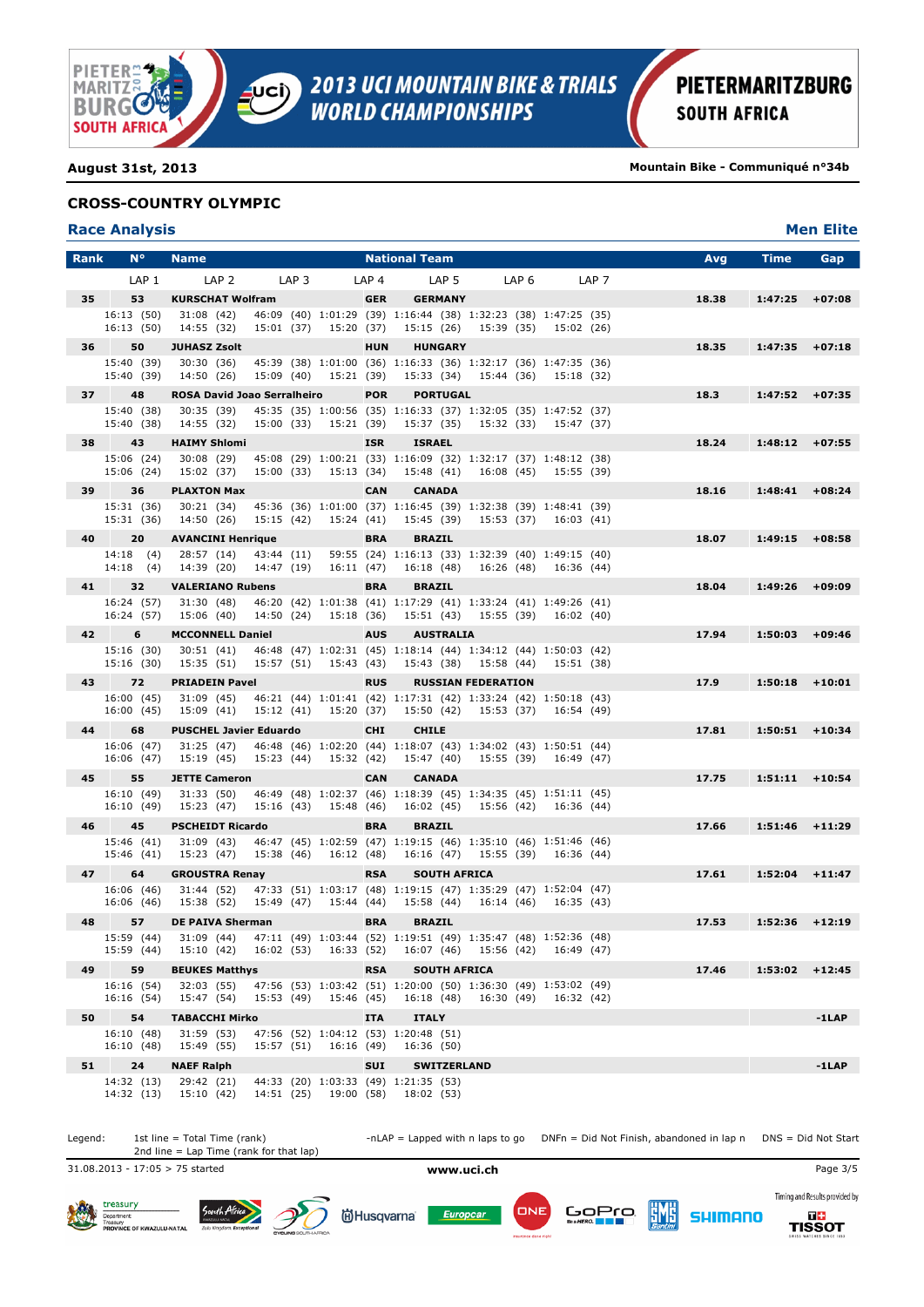

**August 31st, 2013 Mountain Bike - Communiqué n°34b**

### **CROSS-COUNTRY OLYMPIC**

### **Race Analysis Men Elite**

| <b>Rank</b> | $N^{\circ}$              | <b>Name</b>                                                                                                                                                  |                  | <b>National Team</b>                        |                           |            |                  | Avg   | <b>Time</b>       | Gap      |
|-------------|--------------------------|--------------------------------------------------------------------------------------------------------------------------------------------------------------|------------------|---------------------------------------------|---------------------------|------------|------------------|-------|-------------------|----------|
|             | LAP <sub>1</sub>         | LAP <sub>2</sub><br>LAP <sub>3</sub>                                                                                                                         | LAP <sub>4</sub> | LAP <sub>5</sub>                            | LAP <sub>6</sub>          |            | LAP <sub>7</sub> |       |                   |          |
| 35          | 53                       | <b>KURSCHAT Wolfram</b>                                                                                                                                      | <b>GER</b>       | <b>GERMANY</b>                              |                           |            |                  | 18.38 | 1:47:25           | $+07:08$ |
|             | 16:13(50)<br>16:13(50)   | 46:09 (40) 1:01:29 (39) 1:16:44 (38) 1:32:23 (38) 1:47:25 (35)<br>31:08 (42)<br>14:55 (32)<br>15:01 (37) 15:20 (37)                                          |                  | 15:15 (26) 15:39 (35) 15:02 (26)            |                           |            |                  |       |                   |          |
| 36          | 50                       | <b>JUHASZ Zsolt</b>                                                                                                                                          | <b>HUN</b>       | <b>HUNGARY</b>                              |                           |            |                  | 18.35 | $1:47:35$ +07:18  |          |
|             | 15:40 (39)               | 45:39 (38) 1:01:00 (36) 1:16:33 (36) 1:32:17 (36) 1:47:35 (36)<br>30:30 (36)                                                                                 |                  |                                             |                           |            |                  |       |                   |          |
| 37          | 15:40 (39)<br>48         | 14:50 (26) 15:09 (40) 15:21 (39) 15:33 (34) 15:44 (36) 15:18 (32)<br><b>ROSA David Joao Serralheiro</b>                                                      | <b>POR</b>       | <b>PORTUGAL</b>                             |                           |            |                  | 18.3  | $1:47:52 +07:35$  |          |
|             | 15:40 (38)               | 30:35 (39)<br>45:35 (35) 1:00:56 (35) 1:16:33 (37) 1:32:05 (35) 1:47:52 (37)                                                                                 |                  |                                             |                           |            |                  |       |                   |          |
|             | 15:40 (38)               | 15:00 (33) 15:21 (39) 15:37 (35) 15:32 (33) 15:47 (37)<br>14:55 (32)                                                                                         |                  |                                             |                           |            |                  |       |                   |          |
| 38          | 43                       | <b>HAIMY Shlomi</b>                                                                                                                                          | <b>ISR</b>       | <b>ISRAEL</b>                               |                           |            |                  | 18.24 | $1:48:12 +07:55$  |          |
|             | 15:06 (24)<br>15:06 (24) | 30:08 (29)<br>45:08 (29) 1:00:21 (33) 1:16:09 (32) 1:32:17 (37) 1:48:12 (38)<br>15:00 (33)<br>15:02 (37)                                                     |                  | 15:13 (34) 15:48 (41) 16:08 (45) 15:55 (39) |                           |            |                  |       |                   |          |
| 39          | 36                       | <b>PLAXTON Max</b>                                                                                                                                           | <b>CAN</b>       | <b>CANADA</b>                               |                           |            |                  | 18.16 | $1:48:41$ +08:24  |          |
|             | 15:31 (36)               | 45:36 (36) 1:01:00 (37) 1:16:45 (39) 1:32:38 (39) 1:48:41 (39)<br>30:21 (34)                                                                                 |                  |                                             |                           |            |                  |       |                   |          |
|             | 15:31 (36)               | 14:50 (26)<br>15:15 (42)<br>15:24 (41)                                                                                                                       |                  | 15:45 (39)                                  | 15:53 (37) 16:03 (41)     |            |                  |       |                   |          |
| 40          | 20                       | <b>AVANCINI Henrique</b>                                                                                                                                     | <b>BRA</b>       | <b>BRAZIL</b>                               |                           |            |                  | 18.07 | 1:49:15           | $+08:58$ |
|             | 14:18(4)<br>14:18(4)     | 43:44 (11) 59:55 (24) 1:16:13 (33) 1:32:39 (40) 1:49:15 (40)<br>28:57 (14)<br>14:39 (20)<br>14:47 (19)<br>16:11 (47)                                         |                  |                                             | 16:18 (48) 16:26 (48)     | 16:36 (44) |                  |       |                   |          |
| 41          | 32                       | <b>VALERIANO Rubens</b>                                                                                                                                      | <b>BRA</b>       | <b>BRAZIL</b>                               |                           |            |                  | 18.04 | 1:49:26           | $+09:09$ |
|             | 16:24 (57)               | 31:30 (48)<br>46:20 (42) 1:01:38 (41) 1:17:29 (41) 1:33:24 (41) 1:49:26 (41)                                                                                 |                  |                                             |                           |            |                  |       |                   |          |
|             | 16:24 (57)               | 15:06 (40) 14:50 (24) 15:18 (36) 15:51 (43) 15:55 (39) 16:02 (40)                                                                                            |                  |                                             |                           |            |                  |       |                   |          |
| 42          | 6                        | <b>MCCONNELL Daniel</b>                                                                                                                                      | <b>AUS</b>       | <b>AUSTRALIA</b>                            |                           |            |                  | 17.94 | 1:50:03           | $+09:46$ |
|             | 15:16 (30)<br>15:16(30)  | 46:48 (47) 1:02:31 (45) 1:18:14 (44) 1:34:12 (44) 1:50:03 (42)<br>30:51 (41)<br>15:35 (51)<br>15:57 (51) 15:43 (43)                                          |                  | 15:43 (38) 15:58 (44)                       |                           | 15:51 (38) |                  |       |                   |          |
| 43          | 72                       | <b>PRIADEIN Pavel</b>                                                                                                                                        | <b>RUS</b>       |                                             | <b>RUSSIAN FEDERATION</b> |            |                  | 17.9  | $1:50:18$ +10:01  |          |
|             | 16:00 (45)               | 31:09 (45)<br>46:21 (44) 1:01:41 (42) 1:17:31 (42) 1:33:24 (42) 1:50:18 (43)                                                                                 |                  |                                             |                           |            |                  |       |                   |          |
| 44          | 16:00 (45)<br>68         | 15:09 (41) 15:12 (41) 15:20 (37) 15:50 (42) 15:53 (37) 16:54 (49)<br><b>PUSCHEL Javier Eduardo</b>                                                           | <b>CHI</b>       | <b>CHILE</b>                                |                           |            |                  | 17.81 | 1:50:51           | $+10:34$ |
|             | 16:06 (47)               | 31:25 (47) 46:48 (46) 1:02:20 (44) 1:18:07 (43) 1:34:02 (43) 1:50:51 (44)                                                                                    |                  |                                             |                           |            |                  |       |                   |          |
|             | 16:06 (47)               | 15:19 (45)<br>15:23 (44) 15:32 (42) 15:47 (40) 15:55 (39) 16:49 (47)                                                                                         |                  |                                             |                           |            |                  |       |                   |          |
| 45          | 55                       | <b>JETTE Cameron</b>                                                                                                                                         | <b>CAN</b>       | <b>CANADA</b>                               |                           |            |                  | 17.75 | $1:51:11 + 10:54$ |          |
|             | 16:10 (49)<br>16:10 (49) | 31:33 (50)<br>46:49 (48) 1:02:37 (46) 1:18:39 (45) 1:34:35 (45) 1:51:11 (45)<br>15:23 (47)<br>15:16 (43)<br>15:48 (46)                                       |                  | 16:02 (45) 15:56 (42) 16:36 (44)            |                           |            |                  |       |                   |          |
| 46          | 45                       | <b>PSCHEIDT Ricardo</b>                                                                                                                                      | <b>BRA</b>       | <b>BRAZIL</b>                               |                           |            |                  | 17.66 | $1:51:46$ +11:29  |          |
|             | 15:46 (41)               | 46:47 (45) 1:02:59 (47) 1:19:15 (46) 1:35:10 (46) 1:51:46 (46)<br>31:09 (43)                                                                                 |                  |                                             |                           |            |                  |       |                   |          |
|             | 15:46 (41)               | 15:23 (47)<br>15:38 (46) 16:12 (48)                                                                                                                          |                  | 16:16 (47) 15:55 (39) 16:36 (44)            |                           |            |                  |       |                   |          |
| 47          | 64<br>16:06 (46)         | <b>GROUSTRA Renay</b><br>31:44 (52) 47:33 (51) 1:03:17 (48) 1:19:15 (47) 1:35:29 (47) 1:52:04 (47)                                                           | <b>RSA</b>       | <b>SOUTH AFRICA</b>                         |                           |            |                  | 17.61 | 1:52:04           | $+11:47$ |
|             | 16:06 (46)               | 15:49 (47) 15:44 (44)<br>15:38 (52)                                                                                                                          |                  |                                             | 15:58 (44) 16:14 (46)     | 16:35 (43) |                  |       |                   |          |
| 48          | 57                       | <b>DE PAIVA Sherman</b>                                                                                                                                      | <b>BRA</b>       | <b>BRAZIL</b>                               |                           |            |                  | 17.53 | 1:52:36           | $+12:19$ |
|             | 15:59 (44)               | 15:59 (44) 31:09 (44) 47:11 (49) 1:03:44 (52) 1:19:51 (49) 1:35:47 (48) 1:52:36 (48)<br>16:02 (53) 16:33 (52) 16:07 (46) 15:56 (42) 16:49 (47)<br>15:10 (42) |                  |                                             |                           |            |                  |       |                   |          |
| 49          | 59                       | <b>BEUKES Matthys</b>                                                                                                                                        | <b>RSA</b>       | <b>SOUTH AFRICA</b>                         |                           |            |                  | 17.46 | $1:53:02 + 12:45$ |          |
|             | 16:16 (54)               | 47:56 (53) 1:03:42 (51) 1:20:00 (50) 1:36:30 (49) 1:53:02 (49)<br>32:03 (55)                                                                                 |                  |                                             |                           |            |                  |       |                   |          |
|             | 16:16 (54)               | 15:47 (54)<br>15:53 (49) 15:46 (45)                                                                                                                          |                  | 16:18 (48) 16:30 (49) 16:32 (42)            |                           |            |                  |       |                   |          |
| 50          | 54                       | <b>TABACCHI Mirko</b>                                                                                                                                        | <b>ITA</b>       | <b>ITALY</b>                                |                           |            |                  |       |                   | $-1$ LAP |
|             | 16:10 (48)<br>16:10 (48) | 31:59 (53)<br>47:56 (52) 1:04:12 (53) 1:20:48 (51)<br>15:57 (51) 16:16 (49)<br>15:49 (55)                                                                    |                  | 16:36 (50)                                  |                           |            |                  |       |                   |          |
| 51          | 24                       | <b>NAEF Ralph</b>                                                                                                                                            | <b>SUI</b>       | <b>SWITZERLAND</b>                          |                           |            |                  |       |                   | $-1$ LAP |
|             | 14:32 (13)               | 29:42 (21)<br>44:33 (20) 1:03:33 (49) 1:21:35 (53)                                                                                                           |                  |                                             |                           |            |                  |       |                   |          |
|             | 14:32 (13)               | 15:10(42)<br>14:51 (25) 19:00 (58) 18:02 (53)                                                                                                                |                  |                                             |                           |            |                  |       |                   |          |

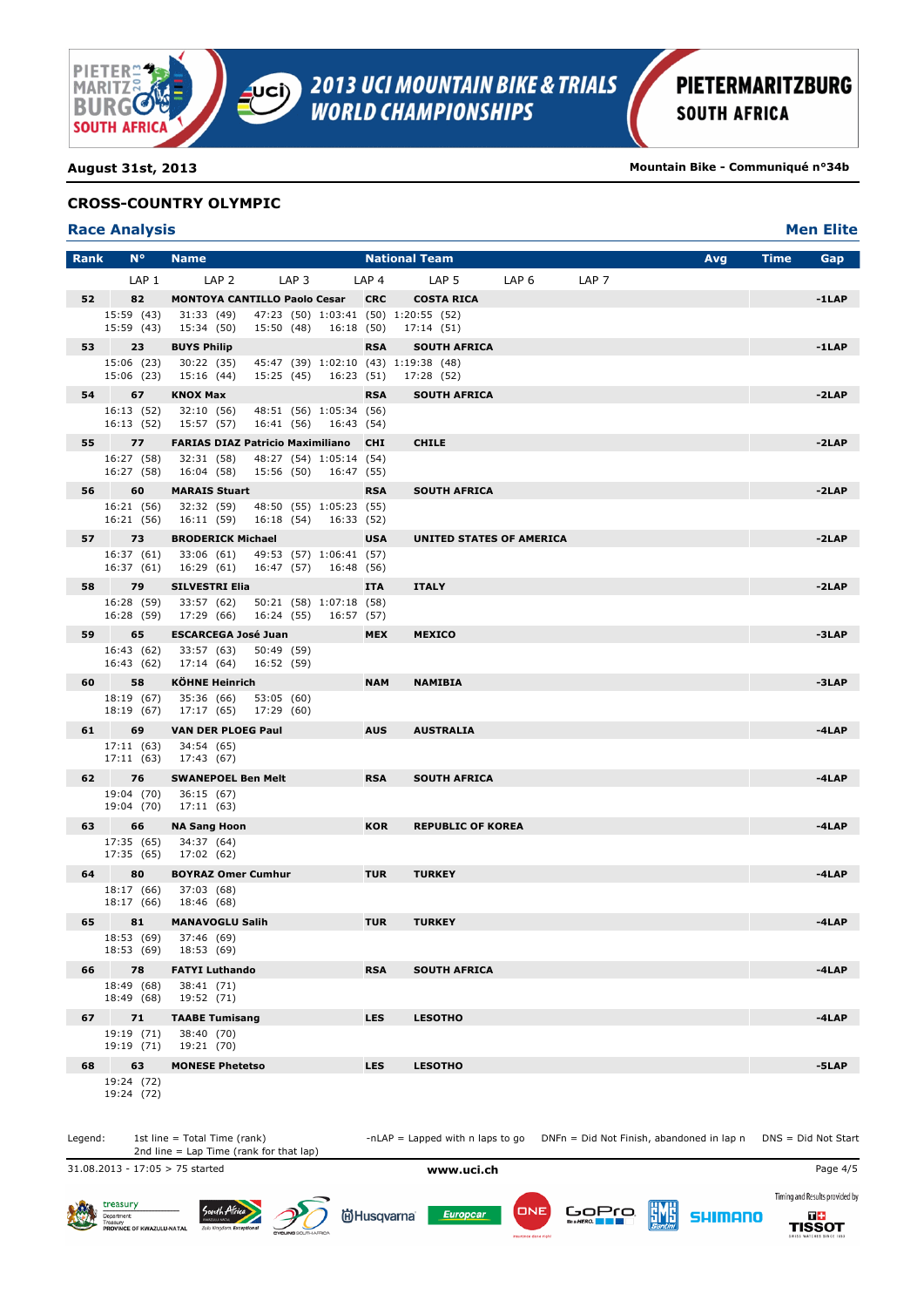

**August 31st, 2013 Mountain Bike - Communiqué n°34b**

### **CROSS-COUNTRY OLYMPIC**

### **Race Analysis Men Elite**

| <b>Rank</b> | $N^{\circ}$              | <b>Name</b>                                                                                  |                  | <b>National Team</b>            |                  |                  | Avg | <b>Time</b> | Gap      |
|-------------|--------------------------|----------------------------------------------------------------------------------------------|------------------|---------------------------------|------------------|------------------|-----|-------------|----------|
|             | LAP <sub>1</sub>         | LAP <sub>2</sub><br>LAP <sub>3</sub>                                                         | LAP <sub>4</sub> | LAP <sub>5</sub>                | LAP <sub>6</sub> | LAP <sub>7</sub> |     |             |          |
| 52          | 82                       | <b>MONTOYA CANTILLO Paolo Cesar</b>                                                          | <b>CRC</b>       | <b>COSTA RICA</b>               |                  |                  |     |             | $-1$ LAP |
|             | 15:59 (43)<br>15:59 (43) | 47:23 (50) 1:03:41 (50) 1:20:55 (52)<br>31:33 (49)<br>15:34 (50)<br>15:50 (48)<br>16:18 (50) |                  | 17:14(51)                       |                  |                  |     |             |          |
| 53          | 23                       | <b>BUYS Philip</b>                                                                           | <b>RSA</b>       | <b>SOUTH AFRICA</b>             |                  |                  |     |             | $-1$ LAP |
|             | 15:06 (23)<br>15:06 (23) | 30:22 (35)<br>45:47 (39) 1:02:10 (43) 1:19:38 (48)<br>15:25 (45)<br>16:23 (51)<br>15:16 (44) |                  | 17:28 (52)                      |                  |                  |     |             |          |
| 54          | 67                       | <b>KNOX Max</b>                                                                              | <b>RSA</b>       | <b>SOUTH AFRICA</b>             |                  |                  |     |             | $-2LAP$  |
|             | 16:13 (52)<br>16:13 (52) | 32:10(56)<br>48:51 (56) 1:05:34 (56)<br>16:41 (56)<br>15:57 (57)<br>16:43 (54)               |                  |                                 |                  |                  |     |             |          |
| 55          | 77                       | <b>FARIAS DIAZ Patricio Maximiliano CHI</b>                                                  |                  | <b>CHILE</b>                    |                  |                  |     |             | $-2LAP$  |
|             | 16:27 (58)<br>16:27 (58) | 48:27 (54) 1:05:14 (54)<br>32:31 (58)<br>16:04 (58)<br>15:56 (50)<br>16:47 (55)              |                  |                                 |                  |                  |     |             |          |
| 56          | 60                       | <b>MARAIS Stuart</b>                                                                         | <b>RSA</b>       | <b>SOUTH AFRICA</b>             |                  |                  |     |             | $-2LAP$  |
|             | 16:21 (56)               | 16:21 (56) 32:32 (59)<br>48:50 (55) 1:05:23 (55)<br>16:11 (59)<br>16:18 (54) 16:33 (52)      |                  |                                 |                  |                  |     |             |          |
| 57          | 73                       | <b>BRODERICK Michael</b><br>49:53 (57) 1:06:41 (57)<br>33:06 (61)                            | <b>USA</b>       | <b>UNITED STATES OF AMERICA</b> |                  |                  |     |             | $-2LAP$  |
|             | 16:37 (61)<br>16:37 (61) | 16:47 (57)<br>16:29 (61)<br>16:48 (56)                                                       |                  |                                 |                  |                  |     |             |          |
| 58          | 79                       | <b>SILVESTRI Elia</b>                                                                        | <b>ITA</b>       | <b>ITALY</b>                    |                  |                  |     |             | $-2LAP$  |
|             | 16:28 (59)               | 33:57 (62)<br>50:21 (58) 1:07:18 (58)                                                        |                  |                                 |                  |                  |     |             |          |
|             | 16:28 (59)               | 16:24 (55)<br>17:29 (66)<br>16:57 (57)                                                       |                  |                                 |                  |                  |     |             |          |
| 59          | 65<br>16:43 (62)         | <b>ESCARCEGA José Juan</b><br>33:57 (63)<br>50:49 (59)                                       | <b>MEX</b>       | <b>MEXICO</b>                   |                  |                  |     |             | -3LAP    |
|             | 16:43 (62)               | 17:14 (64)<br>16:52 (59)                                                                     |                  |                                 |                  |                  |     |             |          |
| 60          | 58                       | <b>KÖHNE Heinrich</b>                                                                        | <b>NAM</b>       | <b>NAMIBIA</b>                  |                  |                  |     |             | $-3LAP$  |
|             | 18:19 (67)<br>18:19 (67) | 35:36 (66)<br>53:05 (60)<br>17:29 (60)<br>17:17 (65)                                         |                  |                                 |                  |                  |     |             |          |
| 61          | 69                       | <b>VAN DER PLOEG Paul</b>                                                                    | <b>AUS</b>       | <b>AUSTRALIA</b>                |                  |                  |     |             | $-4$ LAP |
|             | 17:11(63)<br>17:11(63)   | 34:54 (65)<br>17:43 (67)                                                                     |                  |                                 |                  |                  |     |             |          |
| 62          | 76                       | <b>SWANEPOEL Ben Melt</b>                                                                    | <b>RSA</b>       | <b>SOUTH AFRICA</b>             |                  |                  |     |             | $-4$ LAP |
|             | 19:04 (70)<br>19:04 (70) | 36:15 (67)<br>17:11 (63)                                                                     |                  |                                 |                  |                  |     |             |          |
| 63          | 66                       | <b>NA Sang Hoon</b>                                                                          | <b>KOR</b>       | <b>REPUBLIC OF KOREA</b>        |                  |                  |     |             | $-4$ LAP |
|             | 17:35 (65)<br>17:35 (65) | 34:37 (64)<br>17:02 (62)                                                                     |                  |                                 |                  |                  |     |             |          |
| 64          | 80                       | <b>BOYRAZ Omer Cumhur</b>                                                                    | <b>TUR</b>       | <b>TURKEY</b>                   |                  |                  |     |             | $-4$ LAP |
|             | 18:17 (66)<br>18:17 (66) | 37:03 (68)<br>18:46 (68)                                                                     |                  |                                 |                  |                  |     |             |          |
| 65          | 81                       | <b>MANAVOGLU Salih</b>                                                                       | <b>TUR</b>       | <b>TURKEY</b>                   |                  |                  |     |             | $-4$ LAP |
|             | 18:53 (69)               | 18:53 (69) 37:46 (69)<br>18:53 (69)                                                          |                  |                                 |                  |                  |     |             |          |
| 66          | 78                       | <b>FATYI Luthando</b>                                                                        | <b>RSA</b>       | <b>SOUTH AFRICA</b>             |                  |                  |     |             | $-4$ LAP |
|             | 18:49 (68)<br>18:49 (68) | 38:41 (71)<br>19:52 (71)                                                                     |                  |                                 |                  |                  |     |             |          |
| 67          | 71                       | <b>TAABE Tumisang</b>                                                                        | <b>LES</b>       | <b>LESOTHO</b>                  |                  |                  |     |             | $-4$ LAP |
|             | 19:19 (71)<br>19:19 (71) | 38:40 (70)<br>19:21 (70)                                                                     |                  |                                 |                  |                  |     |             |          |
| 68          | 63                       | <b>MONESE Phetetso</b>                                                                       | <b>LES</b>       | <b>LESOTHO</b>                  |                  |                  |     |             | -5LAP    |
|             | 19:24 (72)<br>19:24 (72) |                                                                                              |                  |                                 |                  |                  |     |             |          |



South Afri

Legend: 1st line = Total Time (rank) -nLAP = Lapped with n laps to go DNFn = Did Not Finish, abandoned in lap n DNS = Did Not Start

ËMË

31.08.2013 - 17:05 > 75 started **www.uci.ch** Page 4/5

Department:<br>Treasury<br>PROVINCE OF KWAZULU-NATA

treasury





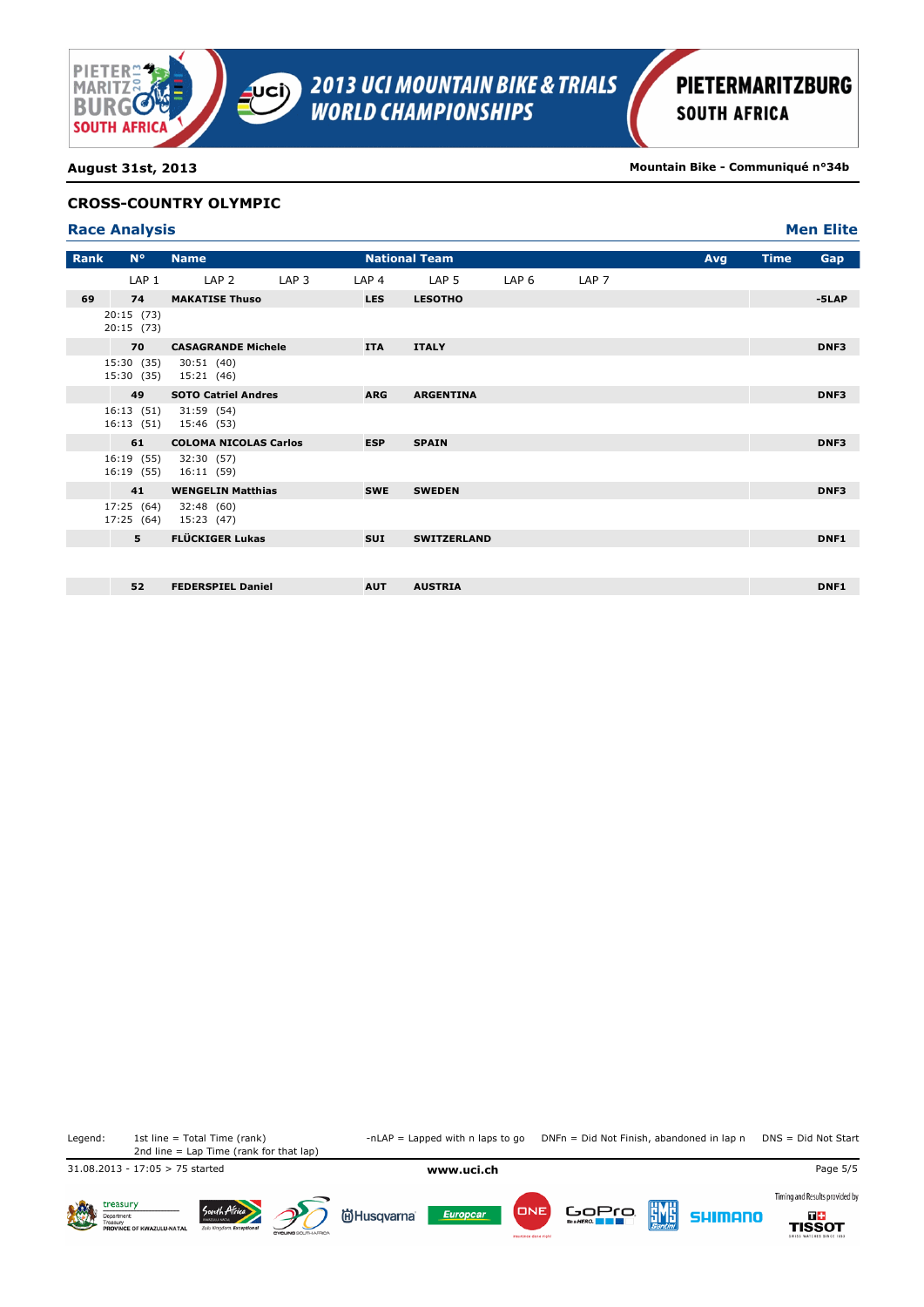

**August 31st, 2013 Mountain Bike - Communiqué n°34b**

### **CROSS-COUNTRY OLYMPIC**

| <b>Race Analysis</b> | <b>Men Elite</b> |
|----------------------|------------------|
|                      |                  |

| Rank | $N^{\circ}$              | <b>Name</b>                         |                  |                  | <b>National Team</b> |                  |                  | Avg | <b>Time</b> | Gap              |
|------|--------------------------|-------------------------------------|------------------|------------------|----------------------|------------------|------------------|-----|-------------|------------------|
|      | LAP <sub>1</sub>         | LAP <sub>2</sub>                    | LAP <sub>3</sub> | LAP <sub>4</sub> | LAP <sub>5</sub>     | LAP <sub>6</sub> | LAP <sub>7</sub> |     |             |                  |
| 69   | 74                       | <b>MAKATISE Thuso</b>               |                  | <b>LES</b>       | <b>LESOTHO</b>       |                  |                  |     |             | $-5LAP$          |
|      | 20:15 (73)<br>20:15 (73) |                                     |                  |                  |                      |                  |                  |     |             |                  |
|      | 70                       | <b>CASAGRANDE Michele</b>           |                  | <b>ITA</b>       | <b>ITALY</b>         |                  |                  |     |             | DNF3             |
|      | 15:30 (35)               | 30:51(40)<br>15:30 (35) 15:21 (46)  |                  |                  |                      |                  |                  |     |             |                  |
|      | 49                       | <b>SOTO Catriel Andres</b>          |                  | <b>ARG</b>       | <b>ARGENTINA</b>     |                  |                  |     |             | DNF3             |
|      | 16:13(51)                | 31:59 (54)<br>16:13 (51) 15:46 (53) |                  |                  |                      |                  |                  |     |             |                  |
|      | 61                       | <b>COLOMA NICOLAS Carlos</b>        |                  | <b>ESP</b>       | <b>SPAIN</b>         |                  |                  |     |             | DNF3             |
|      | 16:19 (55)<br>16:19 (55) | 32:30 (57)<br>16:11 (59)            |                  |                  |                      |                  |                  |     |             |                  |
|      | 41                       | <b>WENGELIN Matthias</b>            |                  | <b>SWE</b>       | <b>SWEDEN</b>        |                  |                  |     |             | DNF3             |
|      | 17:25 (64)               | 32:48 (60)<br>17:25 (64) 15:23 (47) |                  |                  |                      |                  |                  |     |             |                  |
|      | 5                        | <b>FLÜCKIGER Lukas</b>              |                  | <b>SUI</b>       | <b>SWITZERLAND</b>   |                  |                  |     |             | DNF <sub>1</sub> |
|      |                          |                                     |                  |                  |                      |                  |                  |     |             |                  |
|      | 52                       | <b>FEDERSPIEL Daniel</b>            |                  | <b>AUT</b>       | <b>AUSTRIA</b>       |                  |                  |     |             | DNF <sub>1</sub> |

2nd line = Lap Time (rank for that lap)

Legend: 1st line = Total Time (rank) -nLAP = Lapped with n laps to go DNFn = Did Not Finish, abandoned in lap n DNS = Did Not Start

31.08.2013 - 17:05 > 75 started **www.uci.ch** Page 5/5



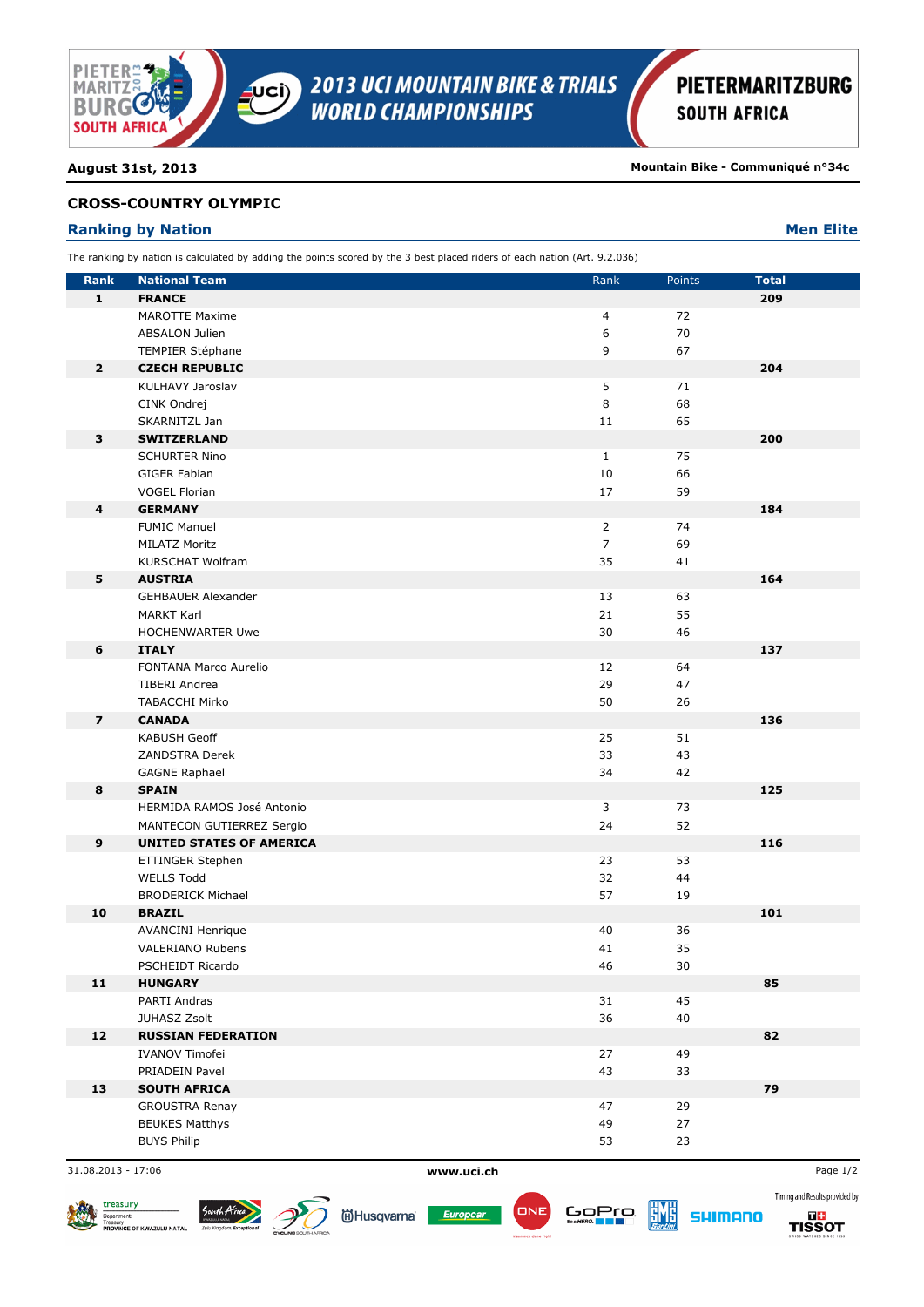

**August 31st, 2013 Mountain Bike - Communiqué n°34c**

## **CROSS-COUNTRY OLYMPIC**

## **Ranking by Nation Men Elite Men Elite Men Elite Men Elite Men Elite**

The ranking by nation is calculated by adding the points scored by the 3 best placed riders of each nation (Art. 9.2.036)

| <b>Rank</b>             | <b>National Team</b>            | Rank           | Points | <b>Total</b> |
|-------------------------|---------------------------------|----------------|--------|--------------|
| $\mathbf{1}$            | <b>FRANCE</b>                   |                |        | 209          |
|                         | <b>MAROTTE Maxime</b>           | 4              | 72     |              |
|                         | <b>ABSALON Julien</b>           | 6              | 70     |              |
|                         | TEMPIER Stéphane                | 9              | 67     |              |
| $\overline{2}$          | <b>CZECH REPUBLIC</b>           |                |        | 204          |
|                         | KULHAVY Jaroslav                | 5              | 71     |              |
|                         | CINK Ondrej                     | 8              | 68     |              |
|                         | SKARNITZL Jan                   | 11             | 65     |              |
| 3                       | <b>SWITZERLAND</b>              |                |        | 200          |
|                         | <b>SCHURTER Nino</b>            | $\mathbf{1}$   | 75     |              |
|                         | GIGER Fabian                    | 10             | 66     |              |
|                         | <b>VOGEL Florian</b>            | 17             | 59     |              |
| 4                       | <b>GERMANY</b>                  |                |        | 184          |
|                         | <b>FUMIC Manuel</b>             | $\overline{2}$ | 74     |              |
|                         | <b>MILATZ Moritz</b>            | $\overline{7}$ | 69     |              |
|                         | <b>KURSCHAT Wolfram</b>         | 35             | 41     |              |
| 5                       | <b>AUSTRIA</b>                  |                |        | 164          |
|                         | <b>GEHBAUER Alexander</b>       | 13             | 63     |              |
|                         | <b>MARKT Karl</b>               | 21             | 55     |              |
|                         | <b>HOCHENWARTER Uwe</b>         | 30             | 46     |              |
| 6                       | <b>ITALY</b>                    |                |        | 137          |
|                         | FONTANA Marco Aurelio           | 12             | 64     |              |
|                         | <b>TIBERI Andrea</b>            | 29             | 47     |              |
|                         | <b>TABACCHI Mirko</b>           | 50             | 26     |              |
| $\overline{\mathbf{z}}$ | <b>CANADA</b>                   |                |        | 136          |
|                         | <b>KABUSH Geoff</b>             | 25             | 51     |              |
|                         | <b>ZANDSTRA Derek</b>           | 33             | 43     |              |
|                         | <b>GAGNE Raphael</b>            | 34             | 42     |              |
| 8                       | <b>SPAIN</b>                    |                |        | 125          |
|                         | HERMIDA RAMOS José Antonio      | 3              | 73     |              |
|                         | MANTECON GUTIERREZ Sergio       | 24             | 52     |              |
| $\boldsymbol{9}$        | <b>UNITED STATES OF AMERICA</b> |                |        | 116          |
|                         | ETTINGER Stephen                | 23             | 53     |              |
|                         | <b>WELLS Todd</b>               | 32             | 44     |              |
|                         | <b>BRODERICK Michael</b>        | 57             | 19     |              |
| 10                      | <b>BRAZIL</b>                   |                |        | 101          |
|                         | <b>AVANCINI Henrique</b>        | 40             | 36     |              |
|                         | <b>VALERIANO Rubens</b>         | 41             | 35     |              |
|                         | PSCHEIDT Ricardo                | 46             | $30\,$ |              |
| 11                      | <b>HUNGARY</b>                  |                |        | 85           |
|                         | PARTI Andras                    | 31             | 45     |              |
|                         | JUHASZ Zsolt                    | 36             | 40     |              |
| 12                      | <b>RUSSIAN FEDERATION</b>       |                |        | 82           |
|                         | <b>IVANOV Timofei</b>           | 27             | 49     |              |
|                         | PRIADEIN Pavel                  | 43             | 33     |              |
| 13                      | <b>SOUTH AFRICA</b>             |                |        | 79           |
|                         | <b>GROUSTRA Renay</b>           | 47             | 29     |              |
|                         | <b>BEUKES Matthys</b>           | 49             | 27     |              |
|                         | <b>BUYS Philip</b>              | 53             | 23     |              |

31.08.2013 - 17:06 **www.uci.ch** Page 1/2



**尚Husqvarna** 







Timing and Results provided by